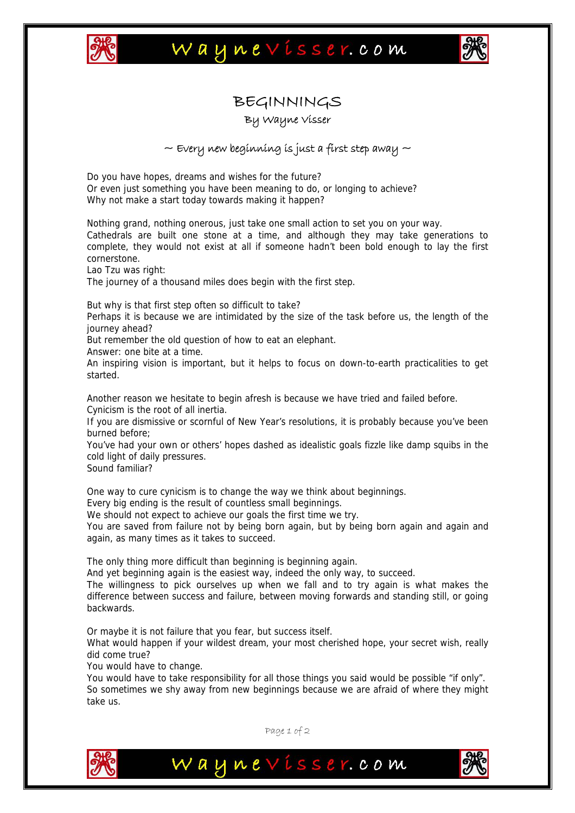

## Waynevisser.com



## BEGINNINGS

By Wayne Visser

## $\sim$  Every new beginning is just a first step away  $\sim$

Do you have hopes, dreams and wishes for the future? Or even just something you have been meaning to do, or longing to achieve? Why not make a start today towards making it happen?

Nothing grand, nothing onerous, just take one small action to set you on your way. Cathedrals are built one stone at a time, and although they may take generations to complete, they would not exist at all if someone hadn't been bold enough to lay the first cornerstone.

Lao Tzu was right:

The journey of a thousand miles does begin with the first step.

But why is that first step often so difficult to take?

Perhaps it is because we are intimidated by the size of the task before us, the length of the journey ahead?

But remember the old question of how to eat an elephant.

Answer: one bite at a time.

An inspiring vision is important, but it helps to focus on down-to-earth practicalities to get started.

Another reason we hesitate to begin afresh is because we have tried and failed before. Cynicism is the root of all inertia.

If you are dismissive or scornful of New Year's resolutions, it is probably because you've been burned before;

You've had your own or others' hopes dashed as idealistic goals fizzle like damp squibs in the cold light of daily pressures.

Sound familiar?

One way to cure cynicism is to change the way we think about beginnings.

Every big ending is the result of countless small beginnings.

We should not expect to achieve our goals the first time we try.

You are saved from failure not by being born again, but by being born again and again and again, as many times as it takes to succeed.

The only thing more difficult than beginning is beginning again.

And yet beginning again is the easiest way, indeed the only way, to succeed.

The willingness to pick ourselves up when we fall and to try again is what makes the difference between success and failure, between moving forwards and standing still, or going backwards.

Or maybe it is not failure that you fear, but success itself.

What would happen if your wildest dream, your most cherished hope, your secret wish, really did come true?

You would have to change.

You would have to take responsibility for all those things you said would be possible "if only". So sometimes we shy away from new beginnings because we are afraid of where they might take us.



Page 1 of 2

Waynevisser.com